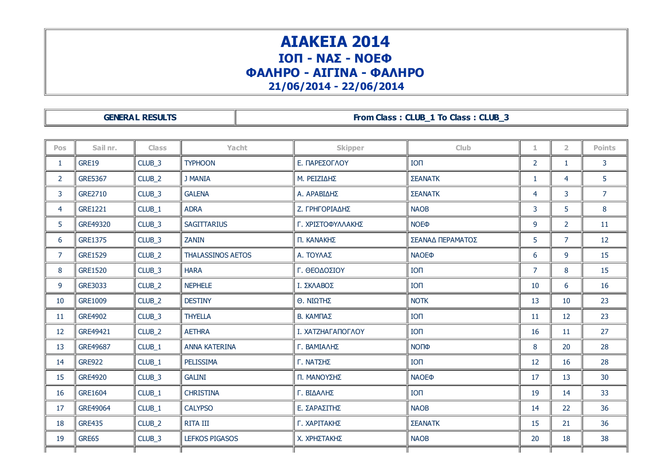## ΑΙΑΚΕΙΑ 2014 ΙΟΠ - ΝΑΣ - ΝΟΕΦ ΦΑΛΗΡΟ - ΑΙΓΙΝΑ - ΦΑΛΗΡΟ 21/06/2014 - 22/06/2014

GENERAL RESULTS **From Class : CLUB\_1 To Class : CLUB\_3** 

| <b>Pos</b>     | Sail nr.       | <b>Class</b>      | Yacht                    | <b>Skipper</b>    | Club                    | 1.             | $\overline{2}$ | <b>Points</b>  |
|----------------|----------------|-------------------|--------------------------|-------------------|-------------------------|----------------|----------------|----------------|
| $\mathbf{1}$   | <b>GRE19</b>   | CLUB <sub>3</sub> | <b>TYPHOON</b>           | Ε. ΠΑΡΕΣΟΓΛΟΥ     | <b>ION</b>              | $\overline{2}$ | $\mathbf{1}$   | $\mathbf{3}$   |
| $\overline{2}$ | <b>GRE5367</b> | CLUB_2            | <b>J MANIA</b>           | Μ. ΡΕΙΖΙΔΗΣ       | ΣΕΑΝΑΤΚ                 | $\mathbf{1}$   | $\overline{4}$ | 5              |
| 3              | GRE2710        | CLUB_3            | <b>GALENA</b>            | Α. ΑΡΑΒΙΔΗΣ       | ΣΕΑΝΑΤΚ                 | 4              | 3              | $\overline{7}$ |
| 4              | <b>GRE1221</b> | CLUB <sub>1</sub> | <b>ADRA</b>              | Ζ. ΓΡΗΓΟΡΙΑΔΗΣ    | <b>NAOB</b>             | 3              | 5              | 8              |
| 5              | GRE49320       | CLUB_3            | <b>SAGITTARIUS</b>       | Γ. ΧΡΙΣΤΟΦΥΛΛΑΚΗΣ | <b>NOE</b> <sup></sup>  | 9              | $\overline{2}$ | 11             |
| 6              | <b>GRE1375</b> | CLUB_3            | <b>ZANIN</b>             | Π. ΚΑΝΑΚΗΣ        | ΣΕΑΝΑΔ ΠΕΡΑΜΑΤΟΣ        | 5              | $\overline{7}$ | 12             |
| $\overline{7}$ | <b>GRE1529</b> | CLUB_2            | <b>THALASSINOS AETOS</b> | Α. ΤΟΥΛΑΣ         | <b>NAOE®</b>            | 6              | 9              | 15             |
| 8              | <b>GRE1520</b> | CLUB_3            | <b>HARA</b>              | Γ. ΘΕΟΔΟΣΙΟΥ      | IO <sub>1</sub>         | $\overline{7}$ | 8              | 15             |
| 9              | GRE3033        | CLUB_2            | <b>NEPHELE</b>           | Ι. ΣΚΛΑΒΟΣ        | IO <sub>1</sub>         | 10             | 6              | 16             |
| 10             | <b>GRE1009</b> | CLUB_2            | <b>DESTINY</b>           | Θ. ΝΙΩΤΗΣ         | <b>NOTK</b>             | 13             | 10             | 23             |
| 11             | <b>GRE4902</b> | CLUB_3            | <b>THYELLA</b>           | Β. ΚΑΜΠΑΣ         | <b>ION</b>              | 11             | 12             | 23             |
| 12             | GRE49421       | CLUB_2            | <b>AETHRA</b>            | Ι. ΧΑΤΖΗΑΓΑΠΟΓΛΟΥ | IO <sub>1</sub>         | 16             | 11             | 27             |
| 13             | GRE49687       | CLUB <sub>1</sub> | <b>ANNA KATERINA</b>     | Γ. ΒΑΜΙΑΛΗΣ       | <b>NOПФ</b>             | 8              | 20             | 28             |
| 14             | <b>GRE922</b>  | CLUB_1            | PELISSIMA                | Γ. ΝΑΤΣΗΣ         | IO <sub>1</sub>         | 12             | 16             | 28             |
| 15             | <b>GRE4920</b> | CLUB_3            | <b>GALINI</b>            | Π. ΜΑΝΟΥΣΗΣ       | <b>NAOE</b> <sup></sup> | 17             | 13             | 30             |
| 16             | GRE1604        | CLUB_1            | <b>CHRISTINA</b>         | Γ. ΒΙΔΑΛΗΣ        | IO <sub>1</sub>         | 19             | 14             | 33             |
| 17             | GRE49064       | CLUB_1            | <b>CALYPSO</b>           | Ε. ΣΑΡΑΣΙΤΗΣ      | <b>NAOB</b>             | 14             | 22             | 36             |
| 18             | <b>GRE435</b>  | CLUB <sub>2</sub> | <b>RITA III</b>          | Γ. ΧΑΡΙΤΑΚΗΣ      | ΣΕΑΝΑΤΚ                 | 15             | 21             | 36             |
| 19             | GRE65          | CLUB_3            | <b>LEFKOS PIGASOS</b>    | Χ. ΧΡΗΣΤΑΚΗΣ      | <b>NAOB</b>             | 20             | 18             | 38             |
|                |                |                   |                          |                   |                         |                |                |                |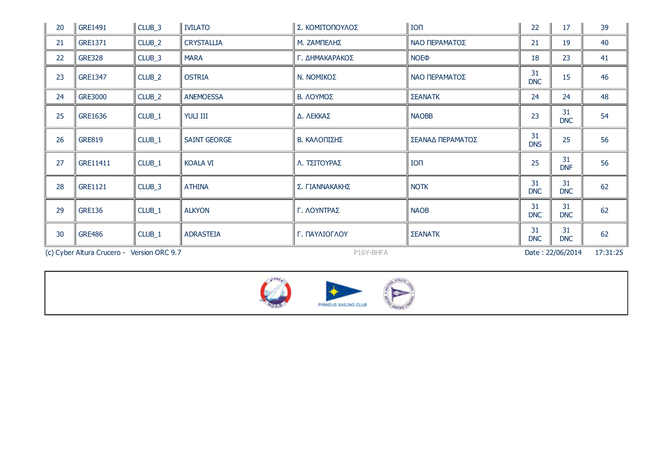| 20                                         | GRE1491        | CLUB_3             | <b>IVILATO</b>      | Σ. ΚΟΜΙΤΟΠΟΥΛΟΣ | IO <sub>1</sub>                    | 22               | 17               | 39       |
|--------------------------------------------|----------------|--------------------|---------------------|-----------------|------------------------------------|------------------|------------------|----------|
| 21                                         | GRE1371        | CLUB_2             | <b>CRYSTALLIA</b>   | Μ. ΖΑΜΠΕΛΗΣ     | ΝΑΟ ΠΕΡΑΜΑΤΟΣ                      | 21               | 19               | 40       |
| 22                                         | <b>GRE328</b>  | CLUB <sub>_3</sub> | <b>MARA</b>         | Γ. ΔΗΜΑΚΑΡΑΚΟΣ  | <b>NOE</b> <sup></sup>             | 18               | 23               | 41       |
| 23                                         | <b>GRE1347</b> | CLUB_2             | <b>OSTRIA</b>       | N. NOMIKOΣ      | ΝΑΟ ΠΕΡΑΜΑΤΟΣ                      | 31<br><b>DNC</b> | 15               | 46       |
| 24                                         | <b>GRE3000</b> | CLUB_2             | <b>ANEMOESSA</b>    | Β. ΛΟΥΜΟΣ       | <b>ΣΕΑΝΑΤΚ</b>                     | 24               | 24               | 48       |
| 25                                         | GRE1636        | CLUB_1             | YULI III            | Δ. ΛΕΚΚΑΣ       | <b>NAOBB</b>                       | 23               | 31<br><b>DNC</b> | 54       |
| 26                                         | <b>GRE819</b>  | CLUB_1             | <b>SAINT GEORGE</b> | Β. ΚΑΛΟΠΙΣΗΣ    | ΣΕΑΝΑΔ ΠΕΡΑΜΑΤΟΣ                   | 31<br><b>DNS</b> | 25               | 56       |
| 27                                         | GRE11411       | CLUB_1             | <b>KOALA VI</b>     | Λ. ΤΣΙΤΟΥΡΑΣ    | <b>ION</b>                         | 25               | 31<br><b>DNF</b> | 56       |
| 28                                         | <b>GRE1121</b> | CLUB_3             | <b>ATHINA</b>       | Σ. ΓΙΑΝΝΑΚΑΚΗΣ  | <b>NOTK</b>                        | 31<br><b>DNC</b> | 31<br><b>DNC</b> | 62       |
| 29                                         | <b>GRE136</b>  | CLUB_1             | <b>ALKYON</b>       | Γ. ΛΟΥΝΤΡΑΣ     | <b>NAOB</b>                        | 31<br><b>DNC</b> | 31<br><b>DNC</b> | 62       |
| 30                                         | <b>GRE486</b>  | CLUB_1             | <b>ADRASTEIA</b>    | Γ. ΠΑΥΛΙΟΓΛΟΥ   | 31<br><b>ΣΕΑΝΑΤΚ</b><br><b>DNC</b> |                  | 31<br><b>DNC</b> | 62       |
| (c) Cyber Altura Crucero - Version ORC 9.7 |                |                    |                     | P16Y-BHFA       |                                    |                  | Date: 22/06/2014 | 17:31:25 |

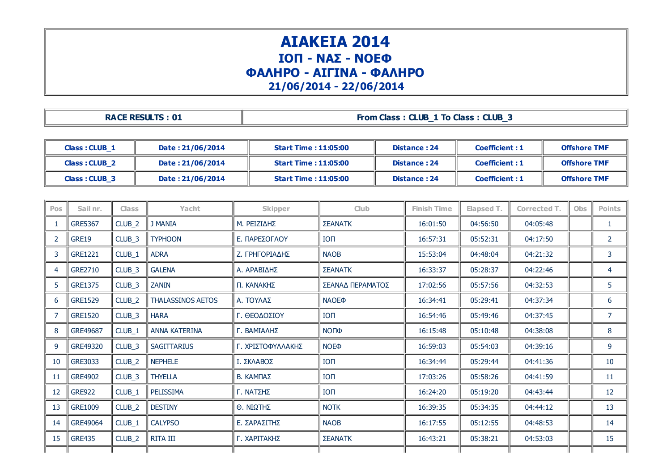## ΑΙΑΚΕΙΑ 2014 ΙΟΠ - ΝΑΣ - ΝΟΕΦ ΦΑΛΗΡΟ - ΑΙΓΙΝΑ - ΦΑΛΗΡΟ 21/06/2014 - 22/06/2014

| <b>RACE RESULTS: 01</b> | From Class: CLUB 1 To Class: CLUB 3 |
|-------------------------|-------------------------------------|
|-------------------------|-------------------------------------|

| Class: CLUB 1        | Date: 21/06/2014 | Start Time : 11:05:00        | Distance: 24 | <b>Coefficient: 1</b> | <b>Offshore TMF</b> |
|----------------------|------------------|------------------------------|--------------|-----------------------|---------------------|
| <b>Class: CLUB 2</b> | Date: 21/06/2014 | <b>Start Time : 11:05:00</b> | Distance: 24 | <b>Coefficient: 1</b> | <b>Offshore TMF</b> |
| Class: CLUB 3        | Date: 21/06/2014 | <b>Start Time : 11:05:00</b> | Distance: 24 | <b>Coefficient: 1</b> | <b>Offshore TMF</b> |

| Pos            | Sail nr.       | <b>Class</b>      | Yacht                    | <b>Skipper</b>    | <b>Club</b>             | <b>Finish Time</b> | Elapsed T. | <b>Corrected T.</b> | <b>Obs</b> | <b>Points</b>  |
|----------------|----------------|-------------------|--------------------------|-------------------|-------------------------|--------------------|------------|---------------------|------------|----------------|
|                | <b>GRE5367</b> | CLUB_2            | <b>J MANIA</b>           | Μ. ΡΕΙΖΙΔΗΣ       | <b>ΣΕΑΝΑΤΚ</b>          | 16:01:50           | 04:56:50   | 04:05:48            |            | 1              |
| $\overline{2}$ | <b>GRE19</b>   | CLUB <sub>3</sub> | <b>TYPHOON</b>           | Ε. ΠΑΡΕΣΟΓΛΟΥ     | <b>ION</b>              | 16:57:31           | 05:52:31   | 04:17:50            |            | $\overline{2}$ |
| 3              | <b>GRE1221</b> | CLUB_1            | <b>ADRA</b>              | Ζ. ΓΡΗΓΟΡΙΑΔΗΣ    | <b>NAOB</b>             | 15:53:04           | 04:48:04   | 04:21:32            |            | 3              |
| $\overline{4}$ | GRE2710        | CLUB_3            | <b>GALENA</b>            | Α. ΑΡΑΒΙΔΗΣ       | ΣΕΑΝΑΤΚ                 | 16:33:37           | 05:28:37   | 04:22:46            |            | 4              |
| 5              | <b>GRE1375</b> | CLUB_3            | <b>ZANIN</b>             | Π. ΚΑΝΑΚΗΣ        | ΣΕΑΝΑΔ ΠΕΡΑΜΑΤΟΣ        | 17:02:56           | 05:57:56   | 04:32:53            |            | 5              |
| -6             | <b>GRE1529</b> | CLUB_2            | <b>THALASSINOS AETOS</b> | Α. ΤΟΥΛΑΣ         | <b>NAOE</b> <sup></sup> | 16:34:41           | 05:29:41   | 04:37:34            |            | 6              |
| $\overline{7}$ | <b>GRE1520</b> | CLUB_3            | <b>HARA</b>              | Γ. ΘΕΟΔΟΣΙΟΥ      | <b>ION</b>              | 16:54:46           | 05:49:46   | 04:37:45            |            | $\overline{7}$ |
| 8              | GRE49687       | CLUB_1            | <b>ANNA KATERINA</b>     | Γ. ΒΑΜΙΑΛΗΣ       | ΝΟΠΦ                    | 16:15:48           | 05:10:48   | 04:38:08            |            | 8              |
| -9             | GRE49320       | CLUB_3            | <b>SAGITTARIUS</b>       | Γ. ΧΡΙΣΤΟΦΥΛΛΑΚΗΣ | <b>NOE</b> <sup></sup>  | 16:59:03           | 05:54:03   | 04:39:16            |            | 9              |
| 10             | GRE3033        | CLUB_2            | <b>NEPHELE</b>           | Ι. ΣΚΛΑΒΟΣ        | $I$ O $\Pi$             | 16:34:44           | 05:29:44   | 04:41:36            |            | 10             |
| 11             | <b>GRE4902</b> | CLUB_3            | <b>THYELLA</b>           | Β. ΚΑΜΠΑΣ         | <b>ION</b>              | 17:03:26           | 05:58:26   | 04:41:59            |            | 11             |
| 12             | <b>GRE922</b>  | CLUB_1            | PELISSIMA                | Γ. ΝΑΤΣΗΣ         | <b>ION</b>              | 16:24:20           | 05:19:20   | 04:43:44            |            | 12             |
| 13             | <b>GRE1009</b> | CLUB_2            | <b>DESTINY</b>           | Θ. ΝΙΩΤΗΣ         | <b>NOTK</b>             | 16:39:35           | 05:34:35   | 04:44:12            |            | 13             |
| 14             | GRE49064       | CLUB_1            | <b>CALYPSO</b>           | Ε. ΣΑΡΑΣΙΤΗΣ      | <b>NAOB</b>             | 16:17:55           | 05:12:55   | 04:48:53            |            | 14             |
| 15             | <b>GRE435</b>  | CLUB_2            | RITA III                 | Γ. ΧΑΡΙΤΑΚΗΣ      | <b>ΣΕΑΝΑΤΚ</b>          | 16:43:21           | 05:38:21   | 04:53:03            |            | 15             |
|                |                |                   |                          |                   |                         |                    |            |                     |            |                |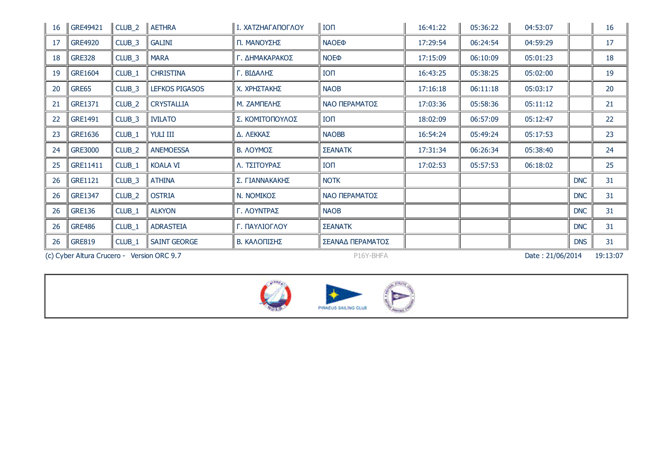| 16 | GRE49421       | CLUB <sub>_2</sub> | <b>AETHRA</b>         | Ι. ΧΑΤΖΗΑΓΑΠΟΓΛΟΥ | <b>ION</b>             | 16:41:22 | 05:36:22 | 04:53:07 |            | 16 |
|----|----------------|--------------------|-----------------------|-------------------|------------------------|----------|----------|----------|------------|----|
| 17 | <b>GRE4920</b> | CLUB <sub>_3</sub> | <b>GALINI</b>         | Π. ΜΑΝΟΥΣΗΣ       | <b>NAOEO</b>           | 17:29:54 | 06:24:54 | 04:59:29 |            | 17 |
| 18 | <b>GRE328</b>  | CLUB <sub>_3</sub> | <b>MARA</b>           | Γ. ΔΗΜΑΚΑΡΑΚΟΣ    | <b>NOE</b> <sup></sup> | 17:15:09 | 06:10:09 | 05:01:23 |            | 18 |
| 19 | <b>GRE1604</b> | CLUB_1             | <b>CHRISTINA</b>      | Γ. ΒΙΔΑΛΗΣ        | <b>ION</b>             | 16:43:25 | 05:38:25 | 05:02:00 |            | 19 |
| 20 | GRE65          | CLUB <sub>_3</sub> | <b>LEFKOS PIGASOS</b> | Χ. ΧΡΗΣΤΑΚΗΣ      | <b>NAOB</b>            | 17:16:18 | 06:11:18 | 05:03:17 |            | 20 |
| 21 | GRE1371        | CLUB_2             | <b>CRYSTALLIA</b>     | Μ. ΖΑΜΠΕΛΗΣ       | ΝΑΟ ΠΕΡΑΜΑΤΟΣ          | 17:03:36 | 05:58:36 | 05:11:12 |            | 21 |
| 22 | GRE1491        | CLUB <sub>_3</sub> | <b>IVILATO</b>        | Σ. ΚΟΜΙΤΟΠΟΥΛΟΣ   | <b>ION</b>             | 18:02:09 | 06:57:09 | 05:12:47 |            | 22 |
| 23 | GRE1636        | CLUB_1             | YULI III              | Δ. ΛΕΚΚΑΣ         | <b>NAOBB</b>           | 16:54:24 | 05:49:24 | 05:17:53 |            | 23 |
| 24 | <b>GRE3000</b> | CLUB_2             | <b>ANEMOESSA</b>      | Β. ΛΟΥΜΟΣ         | <b>ΣΕΑΝΑΤΚ</b>         | 17:31:34 | 06:26:34 | 05:38:40 |            | 24 |
| 25 | GRE11411       | CLUB_1             | <b>KOALA VI</b>       | Λ. ΤΣΙΤΟΥΡΑΣ      | <b>ION</b>             | 17:02:53 | 05:57:53 | 06:18:02 |            | 25 |
| 26 | <b>GRE1121</b> | CLUB_3             | <b>ATHINA</b>         | Σ. ΓΙΑΝΝΑΚΑΚΗΣ    | <b>NOTK</b>            |          |          |          | <b>DNC</b> | 31 |
| 26 | <b>GRE1347</b> | CLUB_2             | <b>OSTRIA</b>         | N. NOMIKOΣ        | ΝΑΟ ΠΕΡΑΜΑΤΟΣ          |          |          |          | <b>DNC</b> | 31 |
| 26 | <b>GRE136</b>  | CLUB_1             | <b>ALKYON</b>         | Γ. ΛΟΥΝΤΡΑΣ       | <b>NAOB</b>            |          |          |          | <b>DNC</b> | 31 |
| 26 | <b>GRE486</b>  | CLUB_1             | <b>ADRASTEIA</b>      | Γ. ΠΑΥΛΙΟΓΛΟΥ     | <b>ΣΕΑΝΑΤΚ</b>         |          |          |          | <b>DNC</b> | 31 |
| 26 | <b>GRE819</b>  | CLUB_1             | <b>SAINT GEORGE</b>   | Β. ΚΑΛΟΠΙΣΗΣ      | ΣΕΑΝΑΔ ΠΕΡΑΜΑΤΟΣ       |          |          |          | <b>DNS</b> | 31 |

(c) Cyber Altura Crucero - Version ORC 9.7 P16Y-BHFA P16Y-BHFA Date : 21/06/2014 19:13:07

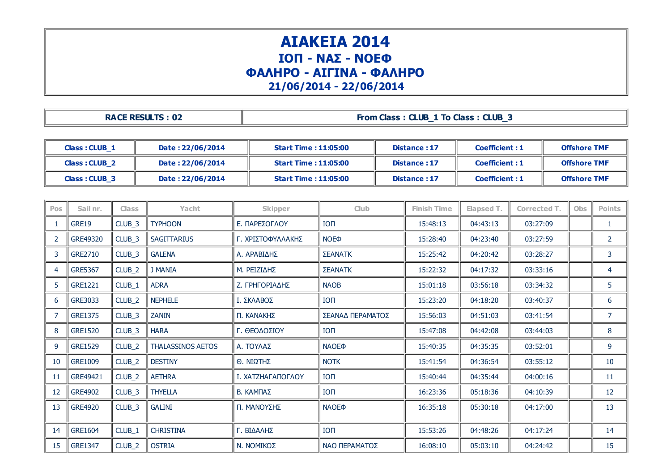## ΑΙΑΚΕΙΑ 2014 ΙΟΠ - ΝΑΣ - ΝΟΕΦ ΦΑΛΗΡΟ - ΑΙΓΙΝΑ - ΦΑΛΗΡΟ 21/06/2014 - 22/06/2014

| <b>RACE RESULTS: 02</b> | From Class: CLUB 1 To Class: CLUB 3 |
|-------------------------|-------------------------------------|
|-------------------------|-------------------------------------|

| Class: CLUB 1        | Date: 22/06/2014 | <b>Start Time : 11:05:00</b> | Distance: 17 | <b>Coefficient: 1</b> | <b>Offshore TMF</b> |
|----------------------|------------------|------------------------------|--------------|-----------------------|---------------------|
| <b>Class: CLUB 2</b> | Date: 22/06/2014 | Start Time : 11:05:00        | Distance: 17 | <b>Coefficient: 1</b> | <b>Offshore TMF</b> |
| Class: CLUB 3        | Date: 22/06/2014 | <b>Start Time : 11:05:00</b> | Distance: 17 | <b>Coefficient: 1</b> | <b>Offshore TMF</b> |

| <b>Pos</b> | Sail nr.       | <b>Class</b>       | <b>Yacht</b>             | <b>Skipper</b>    | <b>Club</b>                      | <b>Finish Time</b> | Elapsed T. | <b>Corrected T.</b> | <b>Obs</b> | <b>Points</b>  |
|------------|----------------|--------------------|--------------------------|-------------------|----------------------------------|--------------------|------------|---------------------|------------|----------------|
|            | <b>GRE19</b>   | CLUB_3             | <b>TYPHOON</b>           | Ε. ΠΑΡΕΣΟΓΛΟΥ     | <b>ION</b>                       | 15:48:13           | 04:43:13   | 03:27:09            |            | 1              |
| 2          | GRE49320       | CLUB <sub>_3</sub> | <b>SAGITTARIUS</b>       | Γ. ΧΡΙΣΤΟΦΥΛΛΑΚΗΣ | NOE <sub><math>\Phi</math></sub> | 15:28:40           | 04:23:40   | 03:27:59            |            | $\overline{2}$ |
| 3          | <b>GRE2710</b> | CLUB_3             | <b>GALENA</b>            | Α. ΑΡΑΒΙΔΗΣ       | <b>ΣΕΑΝΑΤΚ</b>                   | 15:25:42           | 04:20:42   | 03:28:27            |            | 3              |
| 4          | <b>GRE5367</b> | CLUB_2             | <b>J MANIA</b>           | Μ. ΡΕΙΖΙΔΗΣ       | <b>ΣΕΑΝΑΤΚ</b>                   | 15:22:32           | 04:17:32   | 03:33:16            |            | 4              |
| 5          | <b>GRE1221</b> | CLUB_1             | <b>ADRA</b>              | Ζ. ΓΡΗΓΟΡΙΑΔΗΣ    | <b>NAOB</b>                      | 15:01:18           | 03:56:18   | 03:34:32            |            | 5              |
| -6         | <b>GRE3033</b> | CLUB_2             | <b>NEPHELE</b>           | Ι. ΣΚΛΑΒΟΣ        | <b>ION</b>                       | 15:23:20           | 04:18:20   | 03:40:37            |            | 6              |
|            | <b>GRE1375</b> | CLUB_3             | <b>ZANIN</b>             | Π. ΚΑΝΑΚΗΣ        | ΣΕΑΝΑΔ ΠΕΡΑΜΑΤΟΣ                 | 15:56:03           | 04:51:03   | 03:41:54            |            | $\overline{7}$ |
| 8          | <b>GRE1520</b> | CLUB <sub>_3</sub> | <b>HARA</b>              | Γ. ΘΕΟΔΟΣΙΟΥ      | <b>ION</b>                       | 15:47:08           | 04:42:08   | 03:44:03            |            | 8              |
| 9          | <b>GRE1529</b> | CLUB_2             | <b>THALASSINOS AETOS</b> | Α. ΤΟΥΛΑΣ         | <b>NAOE</b> <sup></sup>          | 15:40:35           | 04:35:35   | 03:52:01            |            | 9              |
| 10         | <b>GRE1009</b> | CLUB_2             | <b>DESTINY</b>           | Θ. ΝΙΩΤΗΣ         | <b>NOTK</b>                      | 15:41:54           | 04:36:54   | 03:55:12            |            | 10             |
| 11         | GRE49421       | CLUB_2             | <b>AETHRA</b>            | Ι. ΧΑΤΖΗΑΓΑΠΟΓΛΟΥ | <b>ION</b>                       | 15:40:44           | 04:35:44   | 04:00:16            |            | 11             |
| 12         | <b>GRE4902</b> | CLUB <sub>_3</sub> | <b>THYELLA</b>           | Β. ΚΑΜΠΑΣ         | <b>ION</b>                       | 16:23:36           | 05:18:36   | 04:10:39            |            | 12             |
| 13         | <b>GRE4920</b> | CLUB_3             | <b>GALINI</b>            | Π. ΜΑΝΟΥΣΗΣ       | <b>NAOE®</b>                     | 16:35:18           | 05:30:18   | 04:17:00            |            | 13             |
| 14         | <b>GRE1604</b> | CLUB_1             | <b>CHRISTINA</b>         | Γ. ΒΙΔΑΛΗΣ        | <b>ION</b>                       | 15:53:26           | 04:48:26   | 04:17:24            |            | 14             |
| 15         | <b>GRE1347</b> | CLUB_2             | <b>OSTRIA</b>            | N. NOMIKOΣ        | ΝΑΟ ΠΕΡΑΜΑΤΟΣ                    | 16:08:10           | 05:03:10   | 04:24:42            |            | 15             |